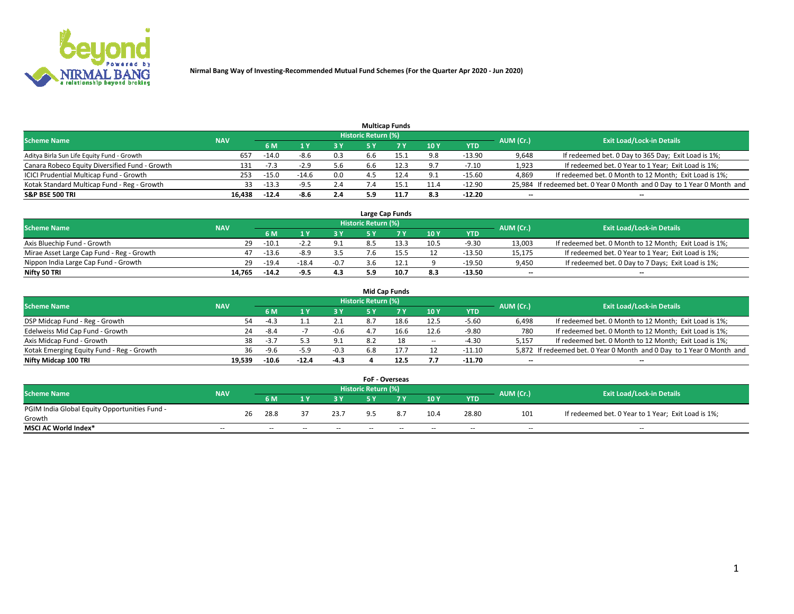

|                                                |            |         |         |     |                     | <b>Multicap Funds</b> |                 |          |           |                                                                        |
|------------------------------------------------|------------|---------|---------|-----|---------------------|-----------------------|-----------------|----------|-----------|------------------------------------------------------------------------|
| <b>Scheme Name</b>                             | <b>NAV</b> |         |         |     | Historic Return (%) |                       |                 |          | AUM (Cr.) | <b>Exit Load/Lock-in Details</b>                                       |
|                                                |            | 6 M     |         |     |                     |                       | 10 <sub>1</sub> | YTD      |           |                                                                        |
| Aditya Birla Sun Life Equity Fund - Growth     | 657        | $-14.0$ | $-8.6$  | 0.3 | 6.6                 | 15.1                  | 9.8             | $-13.90$ | 9,648     | If redeemed bet. 0 Day to 365 Day; Exit Load is 1%;                    |
| Canara Robeco Equity Diversified Fund - Growth | 131        | $-7.3$  | $-2.9$  | 5.6 | 6.6                 | 12.3                  | 9.7             | $-7.10$  | 1,923     | If redeemed bet. 0 Year to 1 Year; Exit Load is 1%;                    |
| ICICI Prudential Multicap Fund - Growth        | 253        | $-15.0$ | $-14.6$ | 0.0 |                     | 12.4                  | 9.1             | $-15.60$ | 4,869     | If redeemed bet. 0 Month to 12 Month; Exit Load is 1%;                 |
| Kotak Standard Multicap Fund - Reg - Growth    | 33         | $-13.3$ | -9.5    | 2.4 |                     | L5.1                  | 11.4            | $-12.90$ |           | 25,984 If redeemed bet. 0 Year 0 Month and 0 Day to 1 Year 0 Month and |
| <b>S&amp;P BSE 500 TRI</b>                     | 16.438     | $-12.4$ | -8.6    | 2.4 | 5.9                 | 11.7                  | 8.3             | $-12.20$ | $-$       | $\overline{\phantom{a}}$                                               |

|                                           |            |         |         |        |                     | Large Cap Funds |             |          |                          |                                                        |
|-------------------------------------------|------------|---------|---------|--------|---------------------|-----------------|-------------|----------|--------------------------|--------------------------------------------------------|
| <b>Scheme Name</b>                        | <b>NAV</b> |         |         |        | Historic Return (%) |                 |             |          | AUM (Cr.)                | <b>Exit Load/Lock-in Details</b>                       |
|                                           |            | 6 M     |         | 3 Y    |                     |                 | <b>10 Y</b> | YTD      |                          |                                                        |
| Axis Bluechip Fund - Growth               | 29.        | $-10.1$ |         | 9.1    |                     |                 | 10.5        | $-9.30$  | 13,003                   | If redeemed bet. 0 Month to 12 Month; Exit Load is 1%; |
| Mirae Asset Large Cap Fund - Reg - Growth |            | $-13.6$ | $-8.9$  | 3.5    |                     |                 | 12          | $-13.50$ | 15,175                   | If redeemed bet. 0 Year to 1 Year; Exit Load is 1%;    |
| Nippon India Large Cap Fund - Growth      | 29.        | $-19.4$ | $-18.4$ | $-0.7$ |                     |                 |             | $-19.50$ | 9,450                    | If redeemed bet. 0 Day to 7 Days; Exit Load is 1%;     |
| Nifty 50 TRI                              | 14.765     | $-14.2$ | $-9.5$  | 4.3    |                     | 10.7            | 8.3         | $-13.50$ | $\overline{\phantom{a}}$ | $\overline{\phantom{a}}$                               |

|                                           |            |         |         |        |                     | <b>Mid Cap Funds</b> |        |          |                          |                                                                       |
|-------------------------------------------|------------|---------|---------|--------|---------------------|----------------------|--------|----------|--------------------------|-----------------------------------------------------------------------|
| <b>Scheme Name</b>                        | <b>NAV</b> |         |         |        | Historic Return (%) |                      |        |          | AUM (Cr.)                | <b>Exit Load/Lock-in Details</b>                                      |
|                                           |            | 6 M     |         | 3 Y    |                     |                      | 10Y    | YTD      |                          |                                                                       |
| DSP Midcap Fund - Reg - Growth            | 54         | $-4.3$  |         |        | 8.                  |                      | 12.5   | $-5.60$  | 6,498                    | If redeemed bet. 0 Month to 12 Month; Exit Load is 1%;                |
| Edelweiss Mid Cap Fund - Growth           | 24         | $-8.4$  |         | $-0.6$ | 4.7                 | ⊥b.b                 | 12.6   | $-9.80$  | 780                      | If redeemed bet. 0 Month to 12 Month; Exit Load is 1%;                |
| Axis Midcap Fund - Growth                 | 38.        | $-3.7$  |         | 9.1    | 8.2                 | 18                   | $\sim$ | $-4.30$  | 5.157                    | If redeemed bet. 0 Month to 12 Month; Exit Load is 1%;                |
| Kotak Emerging Equity Fund - Reg - Growth | 36         | $-9.6$  | $-5.9$  | $-0.3$ | 6.8                 |                      | 12     | $-11.10$ |                          | 5,872 If redeemed bet. 0 Year 0 Month and 0 Day to 1 Year 0 Month and |
| Nifty Midcap 100 TRI                      | 19.539     | $-10.6$ | $-12.4$ | -4.3   |                     |                      | 7.7    | $-11.70$ | $\overline{\phantom{a}}$ | $\overline{\phantom{a}}$                                              |

|                                               |            |    |      |    |        | <b>FoF - Overseas</b> |     |               |            |           |                                                     |
|-----------------------------------------------|------------|----|------|----|--------|-----------------------|-----|---------------|------------|-----------|-----------------------------------------------------|
| <b>Scheme Name</b>                            | <b>NAV</b> |    |      |    |        | Historic Return (%)   |     |               |            | AUM (Cr.) | <b>Exit Load/Lock-in Details</b>                    |
|                                               |            |    | 6 M  |    |        |                       |     | $\sqrt{10}$ Y | <b>YTD</b> |           |                                                     |
| PGIM India Global Equity Opportunities Fund - |            | 26 | 28.8 |    | 23.7   | $Q$ 5                 | 8.7 | 10.4          | 28.80      | 101       | If redeemed bet. 0 Year to 1 Year; Exit Load is 1%; |
| Growth                                        |            |    |      |    |        |                       |     |               |            |           |                                                     |
| <b>MSCI AC World Index*</b>                   | $- -$      |    | $-$  | -- | $\sim$ | $- -$                 | --  | $-$           | $-$        | $-$       | $-$                                                 |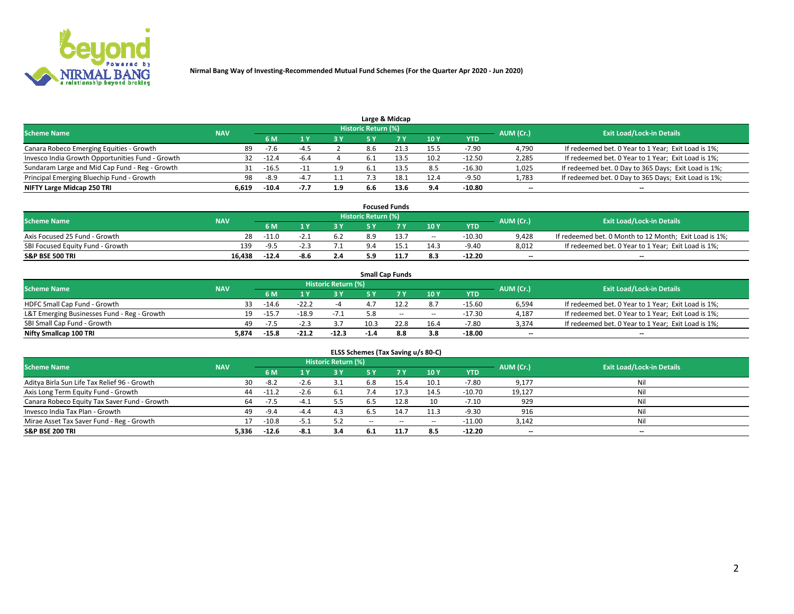

|                                                  |            |         |           |                                  |     | Large & Midcap |      |            |       |                                                      |
|--------------------------------------------------|------------|---------|-----------|----------------------------------|-----|----------------|------|------------|-------|------------------------------------------------------|
| <b>Scheme Name</b>                               | <b>NAV</b> |         | AUM (Cr.) | <b>Exit Load/Lock-in Details</b> |     |                |      |            |       |                                                      |
|                                                  |            | 6 M     |           | 3Y                               |     | 7 V            | 10Y  | <b>YTD</b> |       |                                                      |
| Canara Robeco Emerging Equities - Growth         | 89.        | $-7.6$  | $-4$ .    |                                  | 8.6 | 21.3           | 15.5 | $-7.90$    | 4,790 | If redeemed bet. 0 Year to 1 Year; Exit Load is 1%;  |
| Invesco India Growth Opportunities Fund - Growth | 32         | $-12.4$ | -b.       |                                  |     |                | 10.2 | $-12.50$   | 2,285 | If redeemed bet. 0 Year to 1 Year; Exit Load is 1%;  |
| Sundaram Large and Mid Cap Fund - Reg - Growth   | 31         | $-16.5$ |           | 1.9                              |     |                | 8.5  | $-16.30$   | 1,025 | If redeemed bet. 0 Day to 365 Days; Exit Load is 1%; |
| Principal Emerging Bluechip Fund - Growth        | 98         | -8.9    | $-4$ $-$  | 1.1                              |     | 18.1           | 12.4 | $-9.50$    | 1,783 | If redeemed bet. 0 Day to 365 Days; Exit Load is 1%; |
| NIFTY Large Midcap 250 TRI                       | 6.619      | $-10.4$ | -7.7      | 1.9                              | 6.6 | 13.6           | 9.4  | $-10.80$   | $- -$ | --                                                   |

|                                  |            |         |      |     |                     | <b>Focused Funds</b> |        |          |           |                                                        |
|----------------------------------|------------|---------|------|-----|---------------------|----------------------|--------|----------|-----------|--------------------------------------------------------|
| <b>Scheme Name</b>               | <b>NAV</b> |         |      |     | Historic Return (%) |                      |        |          | AUM (Cr.) | <b>Exit Load/Lock-in Details</b>                       |
|                                  |            | 6 M     |      | 2 V |                     | ע ל                  | 10Y    | YTD      |           |                                                        |
| Axis Focused 25 Fund - Growth    | 28         | $-11.0$ |      | 6.2 | 8.9                 | 13.7                 | $\sim$ | $-10.30$ | 9.428     | If redeemed bet. 0 Month to 12 Month; Exit Load is 1%; |
| SBI Focused Equity Fund - Growth | 139        | $-9.5$  |      |     |                     |                      | 14.3   | $-9.40$  | 8,012     | If redeemed bet. 0 Year to 1 Year; Exit Load is 1%;    |
| <b>S&amp;P BSE 500 TRI</b>       | 16.438     | $-12.4$ | -8.6 | 2.4 |                     |                      | 8.3    | $-12.20$ | $- -$     | $\overline{\phantom{a}}$                               |

|                                             |            |                                  |         |         |        | <b>Small Cap Funds</b> |        |          |                          |                                                     |
|---------------------------------------------|------------|----------------------------------|---------|---------|--------|------------------------|--------|----------|--------------------------|-----------------------------------------------------|
| <b>Scheme Name</b>                          | AUM (Cr.)  | <b>Exit Load/Lock-in Details</b> |         |         |        |                        |        |          |                          |                                                     |
|                                             | <b>NAV</b> | 6 M                              |         | 3 Y     |        |                        | 10Y    | YTD      |                          |                                                     |
| HDFC Small Cap Fund - Growth                | 33.        | $-14.6$                          | $-22.2$ |         |        |                        | 8.7    | $-15.60$ | 6,594                    | If redeemed bet. 0 Year to 1 Year; Exit Load is 1%; |
| L&T Emerging Businesses Fund - Reg - Growth | 19.        | $-15.7$                          | $-18.9$ | $-7.1$  |        | $\sim$                 | $\sim$ | $-17.30$ | 4,187                    | If redeemed bet. 0 Year to 1 Year; Exit Load is 1%; |
| SBI Small Cap Fund - Growth                 | 49.        | $-7.5$                           |         |         | 10.3   | 22.8                   | 16.4   | $-7.80$  | 3.374                    | If redeemed bet. 0 Year to 1 Year; Exit Load is 1%; |
| Nifty Smallcap 100 TRI                      | 5.874      | $-15.8$                          | $-21.2$ | $-12.3$ | $-1.4$ | 8.8                    | 3.8    | $-18.00$ | $\overline{\phantom{a}}$ | $\overline{\phantom{a}}$                            |

| ELSS Schemes (Tax Saving u/s 80-C)           |            |         |        |                            |           |        |        |            |           |                                  |  |  |  |
|----------------------------------------------|------------|---------|--------|----------------------------|-----------|--------|--------|------------|-----------|----------------------------------|--|--|--|
| <b>Scheme Name</b>                           | <b>NAV</b> |         |        | <b>Historic Return (%)</b> |           |        |        |            | AUM (Cr.) | <b>Exit Load/Lock-in Details</b> |  |  |  |
|                                              |            | 6 M     | ΙY     | 73 Y                       | <b>5Y</b> |        | 10Y    | <b>YTD</b> |           |                                  |  |  |  |
| Aditya Birla Sun Life Tax Relief 96 - Growth | 30         | $-8.2$  | $-2.6$ | 3.1                        | 6.8       | 15.4   | 10.1   | $-7.80$    | 9,177     | Ni                               |  |  |  |
| Axis Long Term Equity Fund - Growth          | 44         | $-11.2$ | $-2.6$ | 6.1                        |           | 17.3   | 14.5   | $-10.70$   | 19,127    | Ni                               |  |  |  |
| Canara Robeco Equity Tax Saver Fund - Growth | 64         | $-7.5$  | $-4.1$ | 5.5                        | 6.5       | 12.8   | 10     | $-7.10$    | 929       | Ni                               |  |  |  |
| Invesco India Tax Plan - Growth              | 49         | $-9.4$  | -4.4   | 4.3                        | 6.5       | 14.7   | 11.3   | $-9.30$    | 916       | Ni                               |  |  |  |
| Mirae Asset Tax Saver Fund - Reg - Growth    | 17         | $-10.8$ | -5.1   | 5.2                        | $\sim$    | $\sim$ | $\sim$ | $-11.00$   | 3,142     | Ni                               |  |  |  |
| <b>S&amp;P BSE 200 TRI</b>                   | 5.336      | $-12.6$ | -8.1   | 3.4                        | 6.1       | 11.7   | 8.5    | $-12.20$   | $-$       | $\overline{\phantom{a}}$         |  |  |  |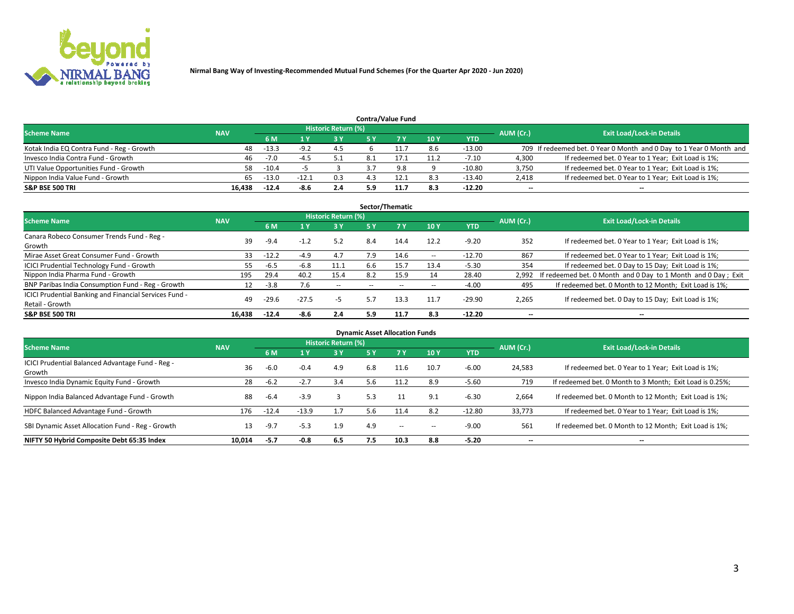

|                                           |            |         |         |                            |     | <b>Contra/Value Fund</b> |     |            |           |                                                                     |
|-------------------------------------------|------------|---------|---------|----------------------------|-----|--------------------------|-----|------------|-----------|---------------------------------------------------------------------|
| <b>Scheme Name</b>                        | <b>NAV</b> |         |         | <b>Historic Return (%)</b> |     |                          |     |            | AUM (Cr.) | <b>Exit Load/Lock-in Details</b>                                    |
|                                           |            | 6 M     |         | 3 Y                        |     |                          | 10Y | <b>YTD</b> |           |                                                                     |
| Kotak India EQ Contra Fund - Reg - Growth | 48         | $-13.3$ | $-9.2$  | 4.5                        |     |                          | 8.6 | $-13.00$   |           | 709 If redeemed bet. 0 Year 0 Month and 0 Day to 1 Year 0 Month and |
| Invesco India Contra Fund - Growth        | 46         | $-7.0$  | -4      |                            |     |                          |     | $-7.10$    | 4.300     | If redeemed bet. 0 Year to 1 Year; Exit Load is 1%;                 |
| UTI Value Opportunities Fund - Growth     | 58         | $-10.4$ |         |                            |     | 9.8                      |     | $-10.80$   | 3,750     | If redeemed bet. 0 Year to 1 Year; Exit Load is 1%;                 |
| Nippon India Value Fund - Growth          | 65         | $-13.0$ | $-12.1$ | 0.3                        |     |                          | 8.3 | $-13.40$   | 2,418     | If redeemed bet. 0 Year to 1 Year; Exit Load is 1%;                 |
| <b>S&amp;P BSE 500 TRI</b>                | 16.438     | $-12.4$ | -8.6    | 2.4                        | 5.9 | 11.7                     | 8.3 | $-12.20$   | $- -$     | $\overline{\phantom{a}}$                                            |

|                                                        |            |         |              |                     |            | Sector/Thematic |            |            |           |                                                               |
|--------------------------------------------------------|------------|---------|--------------|---------------------|------------|-----------------|------------|------------|-----------|---------------------------------------------------------------|
| <b>Scheme Name</b>                                     | <b>NAV</b> |         |              | Historic Return (%) |            |                 |            |            | AUM (Cr.) | <b>Exit Load/Lock-in Details</b>                              |
|                                                        |            | 6 M     |              | 3Y                  | <b>5 Y</b> | 7Y              | 10Y        | <b>YTD</b> |           |                                                               |
| Canara Robeco Consumer Trends Fund - Reg -             |            |         |              | 5.2                 | 8.4        |                 | 12.2       | $-9.20$    | 352       |                                                               |
| Growth                                                 | 39         | $-9.4$  | $-1.2$       |                     |            | 14.4            |            |            |           | If redeemed bet. 0 Year to 1 Year; Exit Load is 1%;           |
| Mirae Asset Great Consumer Fund - Growth               | 33         | $-12.2$ | $-4.9$       | 4.7                 | 7.9        | 14.6            | $\sim$ $-$ | $-12.70$   | 867       | If redeemed bet. 0 Year to 1 Year; Exit Load is 1%;           |
| ICICI Prudential Technology Fund - Growth              | 55         | -6.5    | $-6.8$       | 11.1                | 6.6        | 15.7            | 13.4       | $-5.30$    | 354       | If redeemed bet. 0 Day to 15 Day; Exit Load is 1%;            |
| Nippon India Pharma Fund - Growth                      | 195        | 29.4    | 40.2         | 15.4                | 8.2        | 15.9            | 14         | 28.40      | 2.992     | If redeemed bet. 0 Month and 0 Day to 1 Month and 0 Day; Exit |
| BNP Paribas India Consumption Fund - Reg - Growth      | 12         | $-3.8$  | $.6^{\circ}$ | $\sim$              | $\sim$     | $\!-$           | $\sim$ $-$ | $-4.00$    | 495       | If redeemed bet. 0 Month to 12 Month; Exit Load is 1%;        |
| ICICI Prudential Banking and Financial Services Fund - | 49         | $-29.6$ | $-27.5$      | -5                  | 5.7        | 13.3            | 11.7       | $-29.90$   | 2,265     | If redeemed bet. 0 Day to 15 Day; Exit Load is 1%;            |
| Retail - Growth                                        |            |         |              |                     |            |                 |            |            |           |                                                               |
| <b>S&amp;P BSE 500 TRI</b>                             | 16.438     | $-12.4$ | $-8.6$       | 2.4                 | 5.9        | 11.7            | 8.3        | $-12.20$   | --        | $\overline{\phantom{a}}$                                      |

| <b>Dynamic Asset Allocation Funds</b>                      |            |         |         |                     |            |        |       |            |                          |                                                          |  |  |  |
|------------------------------------------------------------|------------|---------|---------|---------------------|------------|--------|-------|------------|--------------------------|----------------------------------------------------------|--|--|--|
| <b>Scheme Name</b>                                         | <b>NAV</b> |         |         | Historic Return (%) |            |        |       |            | AUM (Cr.)                | <b>Exit Load/Lock-in Details</b>                         |  |  |  |
|                                                            |            | 6 M     |         | 3Y                  | <b>5 Y</b> | 7Y     | 10Y   | <b>YTD</b> |                          |                                                          |  |  |  |
| ICICI Prudential Balanced Advantage Fund - Reg -<br>Growth | 36         | $-6.0$  | $-0.4$  | 4.9                 | 6.8        | 11.6   | 10.7  | $-6.00$    | 24,583                   | If redeemed bet. 0 Year to 1 Year; Exit Load is 1%;      |  |  |  |
| Invesco India Dynamic Equity Fund - Growth                 | 28         | $-6.2$  | $-2.7$  | 3.4                 | 5.6        | 11.2   | 8.9   | $-5.60$    | 719                      | If redeemed bet. 0 Month to 3 Month; Exit Load is 0.25%; |  |  |  |
| Nippon India Balanced Advantage Fund - Growth              | 88         | $-6.4$  | $-3.9$  |                     | 5.3        |        | 9.1   | $-6.30$    | 2,664                    | If redeemed bet. 0 Month to 12 Month; Exit Load is 1%;   |  |  |  |
| HDFC Balanced Advantage Fund - Growth                      | 176        | $-12.4$ | $-13.9$ | 1.7                 | 5.6        | 11.4   | 8.2   | $-12.80$   | 33,773                   | If redeemed bet. 0 Year to 1 Year; Exit Load is 1%;      |  |  |  |
| SBI Dynamic Asset Allocation Fund - Reg - Growth           | 13         | -9.7    | $-5.3$  | 1.9                 | 4.9        | $\sim$ | $- -$ | $-9.00$    | 561                      | If redeemed bet. 0 Month to 12 Month; Exit Load is 1%;   |  |  |  |
| NIFTY 50 Hybrid Composite Debt 65:35 Index                 | 10.014     | $-5.7$  | $-0.8$  | 6.5                 | 7.5        | 10.3   | 8.8   | $-5.20$    | $\overline{\phantom{a}}$ | $\overline{\phantom{a}}$                                 |  |  |  |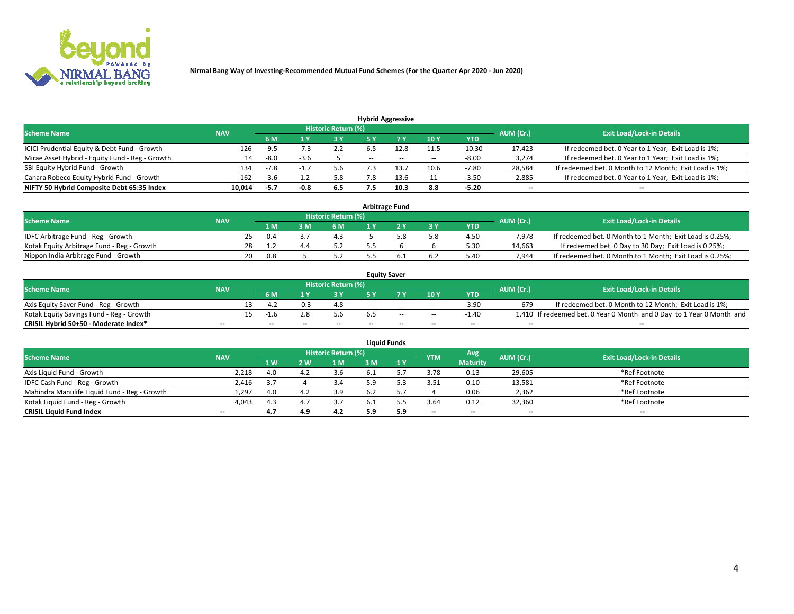

| <b>Hybrid Aggressive</b>                        |            |                                  |      |     |        |      |       |          |        |                                                        |  |  |  |
|-------------------------------------------------|------------|----------------------------------|------|-----|--------|------|-------|----------|--------|--------------------------------------------------------|--|--|--|
| <b>Scheme Name</b>                              | AUM (Cr.)  | <b>Exit Load/Lock-in Details</b> |      |     |        |      |       |          |        |                                                        |  |  |  |
|                                                 | <b>NAV</b> | 6 M                              |      | 3 Y |        |      | 10Y   | YTD      |        |                                                        |  |  |  |
| ICICI Prudential Equity & Debt Fund - Growth    | 126        | $-9.5$                           |      | 2.2 |        |      | 11.5  | $-10.30$ | 17,423 | If redeemed bet. 0 Year to 1 Year; Exit Load is 1%;    |  |  |  |
| Mirae Asset Hybrid - Equity Fund - Reg - Growth | 14         | -8.0                             | -3.6 |     | $\sim$ | $-$  | $- -$ | $-8.00$  | 3,274  | If redeemed bet. 0 Year to 1 Year; Exit Load is 1%;    |  |  |  |
| SBI Equity Hybrid Fund - Growth                 | 134        | $-7.8$                           |      |     |        | 13.  | 10.6  | $-7.80$  | 28,584 | If redeemed bet. 0 Month to 12 Month; Exit Load is 1%; |  |  |  |
| Canara Robeco Equity Hybrid Fund - Growth       | 162        | -3.t                             |      | 5.8 |        | 13.6 | 11    | $-3.50$  | 2,885  | If redeemed bet. 0 Year to 1 Year; Exit Load is 1%;    |  |  |  |
| NIFTY 50 Hybrid Composite Debt 65:35 Index      | 10,014     | $-5.7$                           | -0.8 | 6.5 |        | 10.3 | 8.8   | $-5.20$  | $- -$  | $\overline{\phantom{a}}$                               |  |  |  |

| <b>Arbitrage Fund</b>                      |            |     |     |     |                            |  |  |     |            |           |                                                          |  |  |  |
|--------------------------------------------|------------|-----|-----|-----|----------------------------|--|--|-----|------------|-----------|----------------------------------------------------------|--|--|--|
| <b>Scheme Name</b>                         | <b>NAV</b> |     |     |     | <b>Historic Return (%)</b> |  |  |     |            | AUM (Cr.) | <b>Exit Load/Lock-in Details</b>                         |  |  |  |
|                                            |            |     | 1 M | 3 M | 6 M                        |  |  | '3V | <b>YTD</b> |           |                                                          |  |  |  |
| IDFC Arbitrage Fund - Reg - Growth         |            | 25. | 0.4 |     | 4.3                        |  |  | 5.8 | 4.50       | 7.978     | If redeemed bet. 0 Month to 1 Month; Exit Load is 0.25%; |  |  |  |
| Kotak Equity Arbitrage Fund - Reg - Growth |            |     |     |     | 5.2                        |  |  |     | 5.30       | 14.663    | If redeemed bet. 0 Day to 30 Day; Exit Load is 0.25%;    |  |  |  |
| Nippon India Arbitrage Fund - Growth       |            | 20. | 0.8 |     | 5.2                        |  |  | 6.2 | 5.40       | 7.944     | If redeemed bet. 0 Month to 1 Month; Exit Load is 0.25%; |  |  |  |

|                                          |            |                          |      |                     |     | <b>Equity Saver</b>      |                          |            |           |                                                                       |
|------------------------------------------|------------|--------------------------|------|---------------------|-----|--------------------------|--------------------------|------------|-----------|-----------------------------------------------------------------------|
| <b>Scheme Name</b>                       | <b>NAV</b> |                          |      | Historic Return (%) |     |                          |                          |            | AUM (Cr.) | <b>Exit Load/Lock-in Details</b>                                      |
|                                          |            | 6 M                      |      | 3 Y                 |     |                          | 10 Y                     | <b>YTD</b> |           |                                                                       |
| Axis Equity Saver Fund - Reg - Growth    |            | -4 2                     | -0.3 | 4.8                 | $-$ | $-$                      | $\sim$                   | $-3.90$    | 679       | If redeemed bet. 0 Month to 12 Month; Exit Load is 1%;                |
| Kotak Equity Savings Fund - Reg - Growth |            | $-1h$                    |      | 5.6                 |     | $-$                      | $\sim$                   | $-1.40$    |           | 1,410 If redeemed bet. 0 Year 0 Month and 0 Day to 1 Year 0 Month and |
| CRISIL Hybrid 50+50 - Moderate Index*    | $- -$      | $\overline{\phantom{a}}$ | --   | $- -$               | $-$ | $\overline{\phantom{a}}$ | $\overline{\phantom{a}}$ | $-$        | $- -$     | --                                                                    |

| <b>Liquid Funds</b>                          |                          |     |      |                     |      |     |                          |                          |           |                                  |  |  |  |
|----------------------------------------------|--------------------------|-----|------|---------------------|------|-----|--------------------------|--------------------------|-----------|----------------------------------|--|--|--|
| <b>Scheme Name</b>                           | <b>NAV</b>               |     |      | Historic Return (%) |      |     | <b>YTM</b>               | Avg                      | AUM (Cr.) | <b>Exit Load/Lock-in Details</b> |  |  |  |
|                                              |                          | 1 W | 2 W. | 1 M                 |      | 1 Y |                          | <b>Maturity</b>          |           |                                  |  |  |  |
| Axis Liguid Fund - Growth                    | 2,218                    | 4.0 |      | 3.6                 | D. L |     | 3.78                     | 0.13                     | 29,605    | *Ref Footnote                    |  |  |  |
| IDFC Cash Fund - Reg - Growth                | 2,416                    | 3., |      | 3.4                 | = מ  |     | 3.51                     | 0.10                     | 13,581    | *Ref Footnote                    |  |  |  |
| Mahindra Manulife Liquid Fund - Reg - Growth | 1,297                    | 4.0 |      | 3.9                 |      |     |                          | 0.06                     | 2,362     | *Ref Footnote                    |  |  |  |
| Kotak Liquid Fund - Reg - Growth             | 4,043                    | 4.3 |      | 3.7                 | 6.1  |     | 3.64                     | 0.12                     | 32,360    | *Ref Footnote                    |  |  |  |
| <b>CRISIL Liquid Fund Index</b>              | $\overline{\phantom{a}}$ | 4.7 | 4.9  | 4.2                 | 5.9  | 5.9 | $\overline{\phantom{a}}$ | $\overline{\phantom{a}}$ | $- -$     | $\overline{\phantom{a}}$         |  |  |  |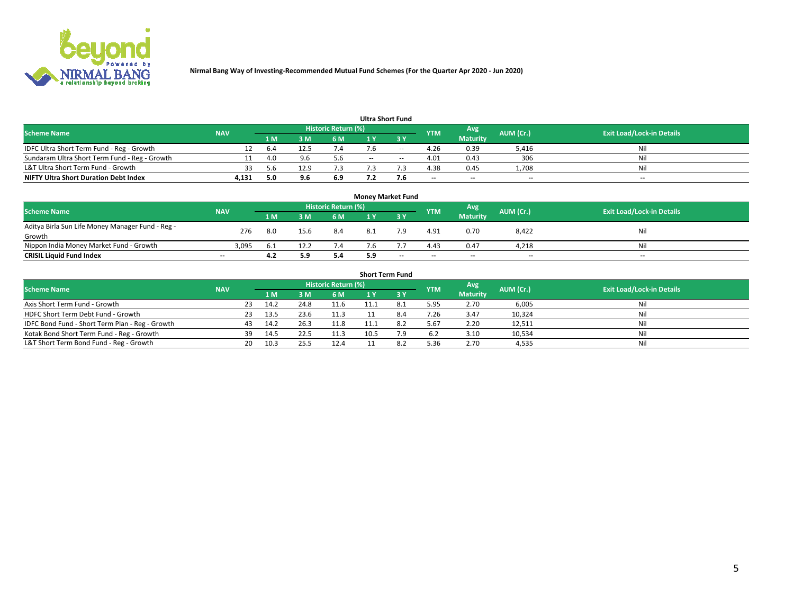

| <b>Ultra Short Fund</b>                       |            |      |      |                            |        |       |                          |                 |           |                                  |  |  |  |  |
|-----------------------------------------------|------------|------|------|----------------------------|--------|-------|--------------------------|-----------------|-----------|----------------------------------|--|--|--|--|
| <b>Scheme Name</b>                            | <b>NAV</b> |      |      | <b>Historic Return (%)</b> |        |       | <b>YTM</b>               | Avg             | AUM (Cr.) | <b>Exit Load/Lock-in Details</b> |  |  |  |  |
|                                               |            | 1 M. | ιM   | 6 M                        |        | 2 V   |                          | <b>Maturity</b> |           |                                  |  |  |  |  |
| IDFC Ultra Short Term Fund - Reg - Growth     | 12         | 6.4  | 12.5 | 7.4                        |        | $- -$ | 4.26                     | 0.39            | 5,416     | Nil                              |  |  |  |  |
| Sundaram Ultra Short Term Fund - Reg - Growth |            | .40  |      | 5.6                        | $\sim$ | $-$   | 4.01                     | 0.43            | 306       | Nil                              |  |  |  |  |
| L&T Ultra Short Term Fund - Growth            | 33         | 5 h  | 12.9 |                            |        |       | 4.38                     | 0.45            | 1,708     | Nil                              |  |  |  |  |
| <b>NIFTY Ultra Short Duration Debt Index</b>  | 4,131      | 5.0  |      | 6.9                        |        | 7.6   | $\overline{\phantom{a}}$ | $-$             | $- -$     | $- -$                            |  |  |  |  |

| <b>Money Market Fund</b>                         |            |     |      |                     |     |       |            |                 |           |                                  |  |  |  |  |
|--------------------------------------------------|------------|-----|------|---------------------|-----|-------|------------|-----------------|-----------|----------------------------------|--|--|--|--|
| <b>Scheme Name</b>                               | <b>NAV</b> |     |      | Historic Return (%) |     |       | <b>YTM</b> | Avg             | AUM (Cr.) | <b>Exit Load/Lock-in Details</b> |  |  |  |  |
|                                                  |            | 1 M | 3 M  | 6 M                 |     | 3 Y   |            | <b>Maturity</b> |           |                                  |  |  |  |  |
| Aditya Birla Sun Life Money Manager Fund - Reg - | 276        | 8.0 | 15.6 | 8.4                 |     | ہ ج   | 4.91       | 0.70            | 8,422     | Nil                              |  |  |  |  |
| Growth                                           |            |     |      |                     |     |       |            |                 |           |                                  |  |  |  |  |
| Nippon India Money Market Fund - Growth          | 3.095      | 6.1 | 12.2 | 7.4                 | '.b |       | 4.43       | 0.47            | 4.218     | Nil                              |  |  |  |  |
| <b>CRISIL Liquid Fund Index</b>                  | $- -$      | 4.2 | 5.9  | 5.4                 | 5.9 | $- -$ | $-$        | $-$             | $- -$     | $- -$                            |  |  |  |  |

| <b>Short Term Fund</b>                          |            |     |      |      |                     |      |     |            |                 |           |                                  |  |  |
|-------------------------------------------------|------------|-----|------|------|---------------------|------|-----|------------|-----------------|-----------|----------------------------------|--|--|
| <b>Scheme Name</b>                              | <b>NAV</b> |     |      |      | Historic Return (%) |      |     | <b>YTM</b> | Avg             | AUM (Cr.) | <b>Exit Load/Lock-in Details</b> |  |  |
|                                                 |            |     | 1 M. | 3 M  | 6 M                 |      | 3 Y |            | <b>Maturity</b> |           |                                  |  |  |
| Axis Short Term Fund - Growth                   |            | 23. | 14.2 | 24.8 | 11.6                | 11.1 |     | 5.95       | 2.70            | 6,005     | Nil                              |  |  |
| HDFC Short Term Debt Fund - Growth              |            | 23  | 13.5 | 23.6 | 11.3                |      |     | 7.26       | 3.47            | 10,324    | Nil                              |  |  |
| IDFC Bond Fund - Short Term Plan - Reg - Growth |            |     | 14.2 | 26.3 | 11.8                | 11.1 |     | 5.67       | 2.20            | 12,511    | Nil                              |  |  |
| Kotak Bond Short Term Fund - Reg - Growth       |            | 39  | 14.5 | 22.5 | 11.3                | 10.5 | 7.9 | 6.2        | 3.10            | 10,534    | Nil                              |  |  |
| L&T Short Term Bond Fund - Reg - Growth         |            | 20. | 10.3 | 25.5 | 12.4                |      |     | 5.36       | 2.70            | 4,535     | Nil                              |  |  |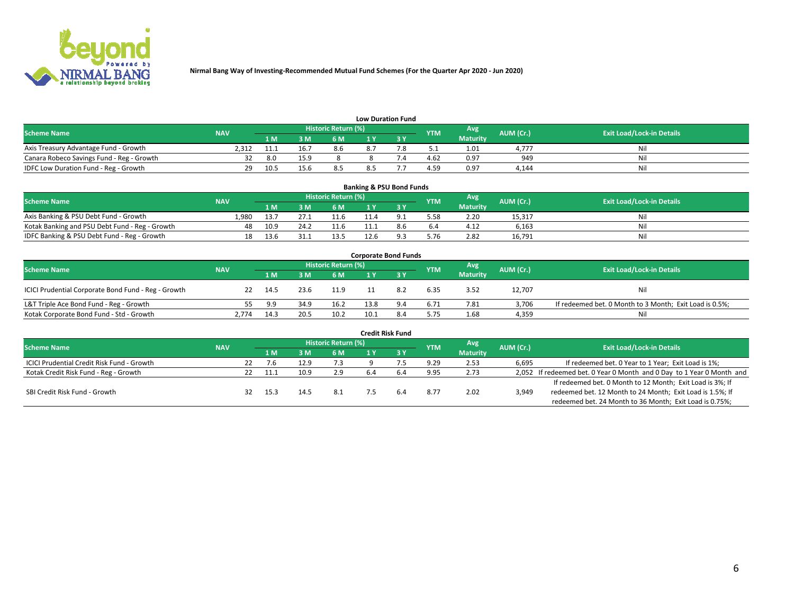

| <b>Low Duration Fund</b> |
|--------------------------|
|--------------------------|

| -----------------                         |            |      |      |                     |  |  |            |                 |           |                                  |  |  |  |
|-------------------------------------------|------------|------|------|---------------------|--|--|------------|-----------------|-----------|----------------------------------|--|--|--|
| <b>Scheme Name</b>                        | <b>NAV</b> |      |      | Historic Return (%) |  |  | <b>YTM</b> | Avg             | AUM (Cr.) | <b>Exit Load/Lock-in Details</b> |  |  |  |
|                                           |            | 1 M  | 3 M  | 6 M                 |  |  |            | <b>Maturity</b> |           |                                  |  |  |  |
| Axis Treasury Advantage Fund - Growth     | 2.312      |      |      | 8.6                 |  |  | ۲۰۰ ب      | 1.01            | 1.777     |                                  |  |  |  |
| Canara Robeco Savings Fund - Reg - Growth |            | 8.0  | 15.9 |                     |  |  | 4.62       | 0.97            | 949       |                                  |  |  |  |
| IDFC Low Duration Fund - Reg - Growth     | 29         | 10.5 | 15.6 | 8.5                 |  |  | 4.59       | 0.97            | 4.144     | Nil                              |  |  |  |

| <b>Banking &amp; PSU Bond Funds</b>            |            |      |      |                            |      |     |            |                 |           |                                  |  |  |  |  |
|------------------------------------------------|------------|------|------|----------------------------|------|-----|------------|-----------------|-----------|----------------------------------|--|--|--|--|
| <b>Scheme Name</b>                             | <b>NAV</b> |      |      | <b>Historic Return (%)</b> |      |     | <b>YTM</b> | Avg             | AUM (Cr.) | <b>Exit Load/Lock-in Details</b> |  |  |  |  |
|                                                |            | 1 M  | ЗM   | 6 M                        |      |     |            | <b>Maturity</b> |           |                                  |  |  |  |  |
| Axis Banking & PSU Debt Fund - Growth          | 1.980      | 13.7 | 27.1 | 11.6                       |      |     | 5.58       | 2.20            | 15,317    | Nil                              |  |  |  |  |
| Kotak Banking and PSU Debt Fund - Reg - Growth | 48         | 10.9 | 24.2 | 11.6                       |      | 8.6 | 6.4        | 4.12            | 6.163     | Nil                              |  |  |  |  |
| IDFC Banking & PSU Debt Fund - Reg - Growth    | 18         | 13.6 |      | 13.5                       | 12.6 |     | 5.76       | 2.82            | 16,791    | Nil                              |  |  |  |  |

| <b>Corporate Bond Funds</b>                         |            |      |      |                     |      |     |            |                 |           |                                                         |  |  |  |  |
|-----------------------------------------------------|------------|------|------|---------------------|------|-----|------------|-----------------|-----------|---------------------------------------------------------|--|--|--|--|
| <b>Scheme Name</b>                                  | <b>NAV</b> |      |      | Historic Return (%) |      |     | <b>YTM</b> | Avg             | AUM (Cr.) | <b>Exit Load/Lock-in Details</b>                        |  |  |  |  |
|                                                     |            | 1 M  | 3 M  | 6 M                 |      |     |            | <b>Maturity</b> |           |                                                         |  |  |  |  |
| ICICI Prudential Corporate Bond Fund - Reg - Growth | 22         | 14.5 | 23.6 | 11.9                |      | 8.2 | 6.35       | 3.52            | 12,707    | Nil                                                     |  |  |  |  |
| L&T Triple Ace Bond Fund - Reg - Growth             |            | 9.9  | 34.9 | 16.2                | 13.8 | 9.4 | 6.71       | 7.81            | 3,706     | If redeemed bet. 0 Month to 3 Month; Exit Load is 0.5%; |  |  |  |  |
| Kotak Corporate Bond Fund - Std - Growth            | 2.774      | 14.3 | 20.5 | 10.2                |      | 8.4 | 5.75       | 1.68            | 4,359     | Nil                                                     |  |  |  |  |

| <b>Credit Risk Fund</b>                    |            |    |      |      |                            |     |     |            |                 |           |                                                                       |  |  |  |
|--------------------------------------------|------------|----|------|------|----------------------------|-----|-----|------------|-----------------|-----------|-----------------------------------------------------------------------|--|--|--|
| <b>Scheme Name</b>                         | <b>NAV</b> |    |      |      | <b>Historic Return (%)</b> |     |     | <b>YTM</b> | Avg             | AUM (Cr.) | <b>Exit Load/Lock-in Details</b>                                      |  |  |  |
|                                            |            |    | 4 M  | 3 M  | 6 M                        |     | 3 Y |            | <b>Maturity</b> |           |                                                                       |  |  |  |
| ICICI Prudential Credit Risk Fund - Growth |            | 22 | 7.6  | 12.9 | 7.3                        |     |     | 9.29       | 2.53            | 6,695     | If redeemed bet. 0 Year to 1 Year; Exit Load is 1%;                   |  |  |  |
| Kotak Credit Risk Fund - Reg - Growth      |            | 22 | 11.1 | 10.9 | 2.9                        | 6.4 |     | 9.95       | 2.73            |           | 2,052 If redeemed bet. 0 Year 0 Month and 0 Day to 1 Year 0 Month and |  |  |  |
|                                            |            |    |      |      |                            |     |     |            |                 |           | If redeemed bet. 0 Month to 12 Month; Exit Load is 3%; If             |  |  |  |
| SBI Credit Risk Fund - Growth              |            |    | 15.3 | 14.5 | 8.1                        |     |     | 8.77       | 2.02            | 3,949     | redeemed bet. 12 Month to 24 Month; Exit Load is 1.5%; If             |  |  |  |
|                                            |            |    |      |      |                            |     |     |            |                 |           | redeemed bet. 24 Month to 36 Month; Exit Load is 0.75%;               |  |  |  |